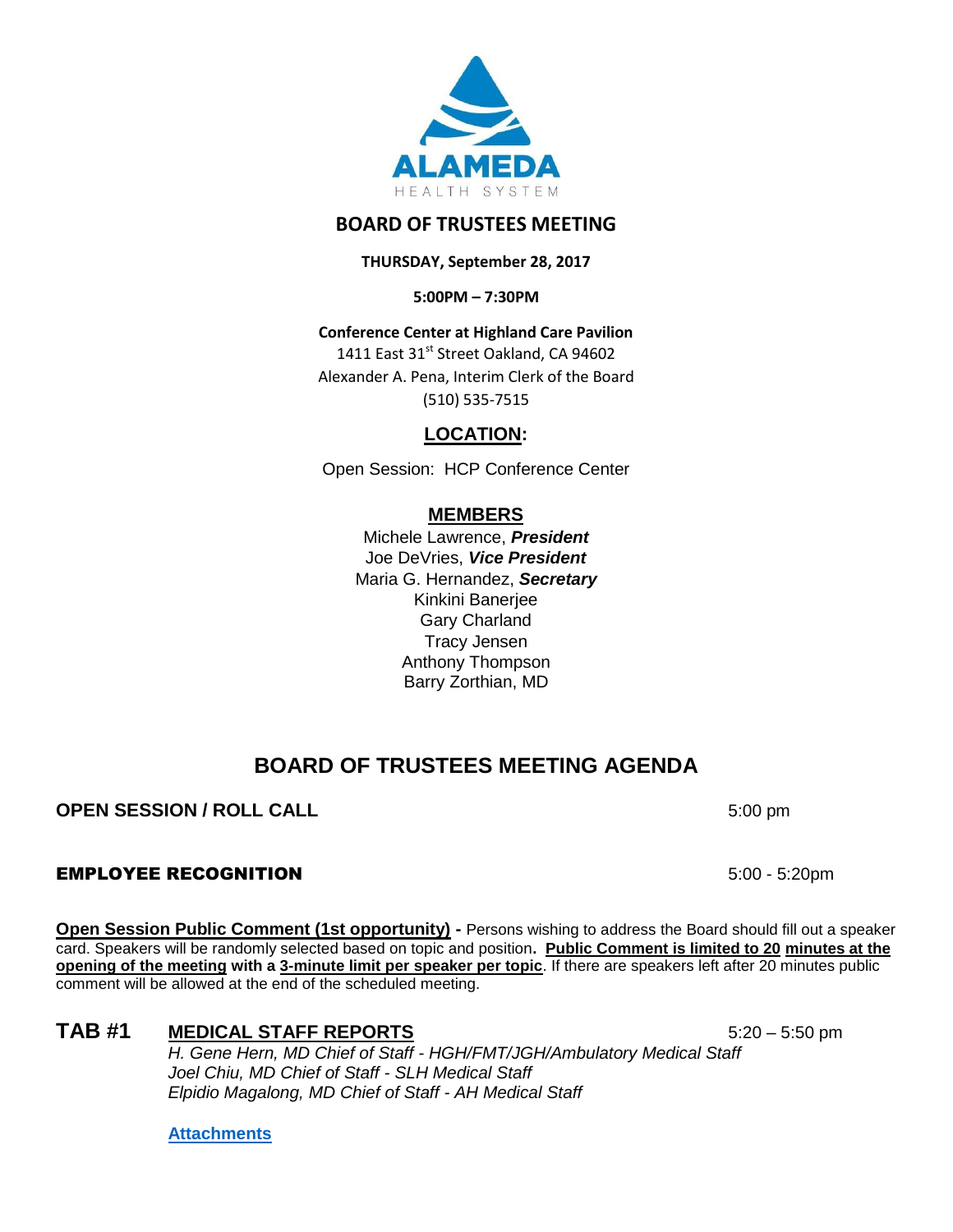

## **BOARD OF TRUSTEES MEETING**

**THURSDAY, September 28, 2017**

**5:00PM – 7:30PM**

**Conference Center at Highland Care Pavilion** 1411 East 31<sup>st</sup> Street Oakland, CA 94602 Alexander A. Pena, Interim Clerk of the Board (510) 535-7515

**LOCATION:**

Open Session: HCP Conference Center

## **MEMBERS**

Michele Lawrence, *President*  Joe DeVries, *Vice President*  Maria G. Hernandez, *Secretary* Kinkini Banerjee Gary Charland Tracy Jensen Anthony Thompson Barry Zorthian, MD

# **BOARD OF TRUSTEES MEETING AGENDA**

### **OPEN SESSION / ROLL CALL** 5:00 pm

### EMPLOYEE RECOGNITION 5:00 - 5:20pm

**Open Session Public Comment (1st opportunity) -** Persons wishing to address the Board should fill out a speaker card. Speakers will be randomly selected based on topic and position**. Public Comment is limited to 20 minutes at the opening of the meeting with a 3-minute limit per speaker per topic**. If there are speakers left after 20 minutes public comment will be allowed at the end of the scheduled meeting.

# TAB #1 **MEDICAL STAFF REPORTS** 5:20 – 5:50 pm

*H. Gene Hern, MD Chief of Staff - HGH/FMT/JGH/Ambulatory Medical Staff Joel Chiu, MD Chief of Staff - SLH Medical Staff Elpidio Magalong, MD Chief of Staff - AH Medical Staff*

**[Attachments](http://www.alamedahealthsystem.org/sites/default/files/Tab%201%20-%20Medical%20Staff%20Reports.pdf)**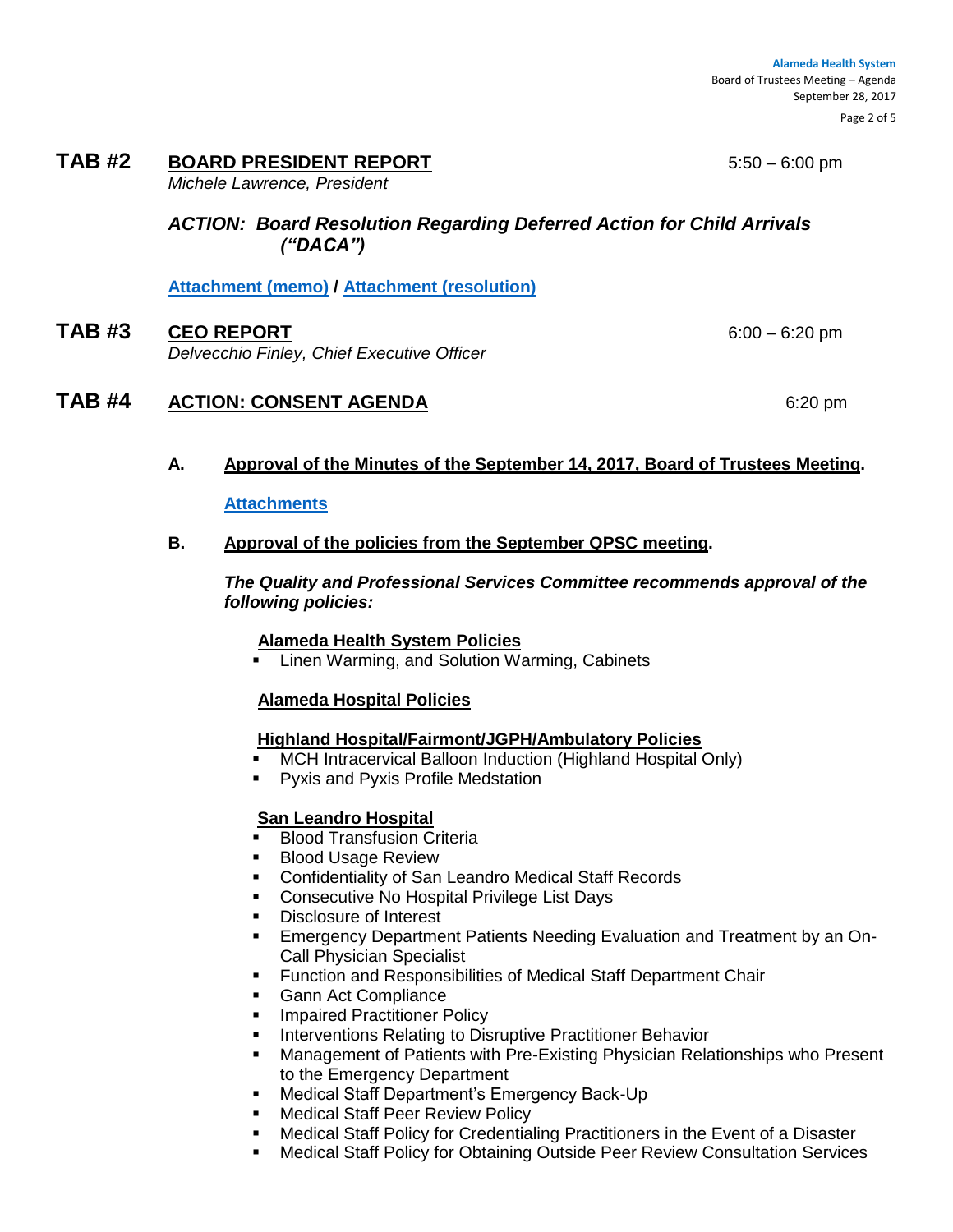Page 2 of 5

#### **TAB #2 BOARD PRESIDENT REPORT** 5:50 – 6:00 pm

*Michele Lawrence, President*

*ACTION: Board Resolution Regarding Deferred Action for Child Arrivals ("DACA")*

**[Attachment \(memo\)](http://www.alamedahealthsystem.org/sites/default/files/DACA%209-28-2017%20Adoption%20of%20DACA%20Resolution.pdf) / [Attachment \(resolution\)](http://www.alamedahealthsystem.org/sites/default/files/Resolution%202017-008%20%28DACA%20-%20Sep%2028%202017%29%20final.pdf)**

**TAB #3 CEO REPORT** 6:00 – 6:20 pm *Delvecchio Finley, Chief Executive Officer*

### **TAB #4 ACTION: CONSENT AGENDA** 6:20 pm

#### **A. Approval of the Minutes of the September 14, 2017, Board of Trustees Meeting.**

#### **[Attachments](http://www.alamedahealthsystem.org/sites/default/files/09142017%20BOT%20Meeting%20Minutes%20-%20MM%20edit.pdf)**

#### **B. Approval of the policies from the September QPSC meeting.**

*The Quality and Professional Services Committee recommends approval of the following policies:*

#### **Alameda Health System Policies**

Linen Warming, and Solution Warming, Cabinets

#### **Alameda Hospital Policies**

#### **Highland Hospital/Fairmont/JGPH/Ambulatory Policies**

- MCH Intracervical Balloon Induction (Highland Hospital Only)
- **Pyxis and Pyxis Profile Medstation**

#### **San Leandro Hospital**

- **Blood Transfusion Criteria**
- **Blood Usage Review**
- Confidentiality of San Leandro Medical Staff Records
- **Consecutive No Hospital Privilege List Days**
- Disclosure of Interest
- Emergency Department Patients Needing Evaluation and Treatment by an On-Call Physician Specialist
- **Function and Responsibilities of Medical Staff Department Chair**
- **Gann Act Compliance**
- **Impaired Practitioner Policy**
- Interventions Relating to Disruptive Practitioner Behavior
- Management of Patients with Pre-Existing Physician Relationships who Present to the Emergency Department
- **Medical Staff Department's Emergency Back-Up**
- Medical Staff Peer Review Policy
- Medical Staff Policy for Credentialing Practitioners in the Event of a Disaster
- Medical Staff Policy for Obtaining Outside Peer Review Consultation Services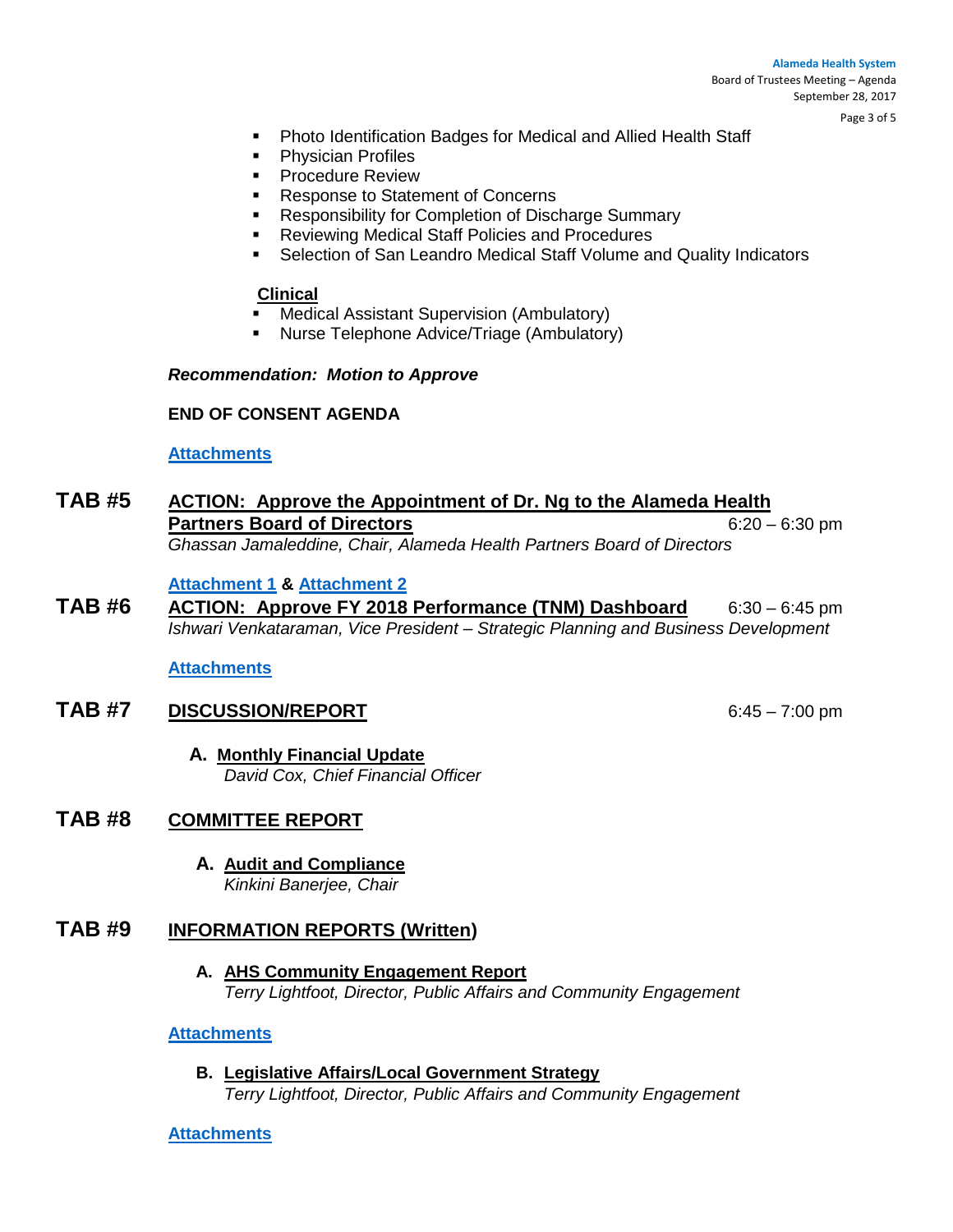#### **Alameda Health System**  Board of Trustees Meeting – Agenda September 28, 2017

Page 3 of 5

- Photo Identification Badges for Medical and Allied Health Staff
- **•** Physician Profiles
- **•** Procedure Review
- **Response to Statement of Concerns**
- **Responsibility for Completion of Discharge Summary**
- **Reviewing Medical Staff Policies and Procedures**
- **EXECTE Selection of San Leandro Medical Staff Volume and Quality Indicators**

#### **Clinical**

- Medical Assistant Supervision (Ambulatory)
- Nurse Telephone Advice/Triage (Ambulatory)

#### *Recommendation: Motion to Approve*

#### **END OF CONSENT AGENDA**

#### **[Attachments](http://www.alamedahealthsystem.org/sites/default/files/Tab%204.B%20-%20QPSC%20Policies.pdf)**

### **TAB #5 ACTION: Approve the Appointment of Dr. Ng to the Alameda Health Partners Board of Directors** 6:20 – 6:30 pm *Ghassan Jamaleddine, Chair, Alameda Health Partners Board of Directors*

#### **[Attachment 1](http://www.alamedahealthsystem.org/sites/default/files/Memo%20Dr.%20NG%20AHP%20Appointment%209-28-17.pdf) & [Attachment 2](http://www.alamedahealthsystem.org/sites/default/files/Memo%20Dr.%20NG%20AHP%20Appointment%209-28-17.pdf)**

**TAB #6 ACTION: Approve FY 2018 Performance (TNM) Dashboard** 6:30 – 6:45 pm *Ishwari Venkataraman, Vice President – Strategic Planning and Business Development*

**[Attachments](http://www.alamedahealthsystem.org/sites/default/files/Tab%206_0.pdf)**

### **TAB #7 DISCUSSION/REPORT** 6:45 – 7:00 pm

**A. Monthly Financial Update** *David Cox, Chief Financial Officer*

### **TAB #8 COMMITTEE REPORT**

**A. Audit and Compliance**  *Kinkini Banerjee, Chair*

### **TAB #9 INFORMATION REPORTS (Written)**

**A. AHS Community Engagement Report** *Terry Lightfoot, Director, Public Affairs and Community Engagement*

#### **[Attachments](http://www.alamedahealthsystem.org/sites/default/files/Community%20Engagment%20Report%20092817%20vf%20%28002%29.pdf)**

**B. Legislative Affairs/Local Government Strategy**  *Terry Lightfoot, Director, Public Affairs and Community Engagement*

#### **[Attachments](http://www.alamedahealthsystem.org/sites/default/files/Tab%209.B%20-%20Legislative%20Affairs.pdf)**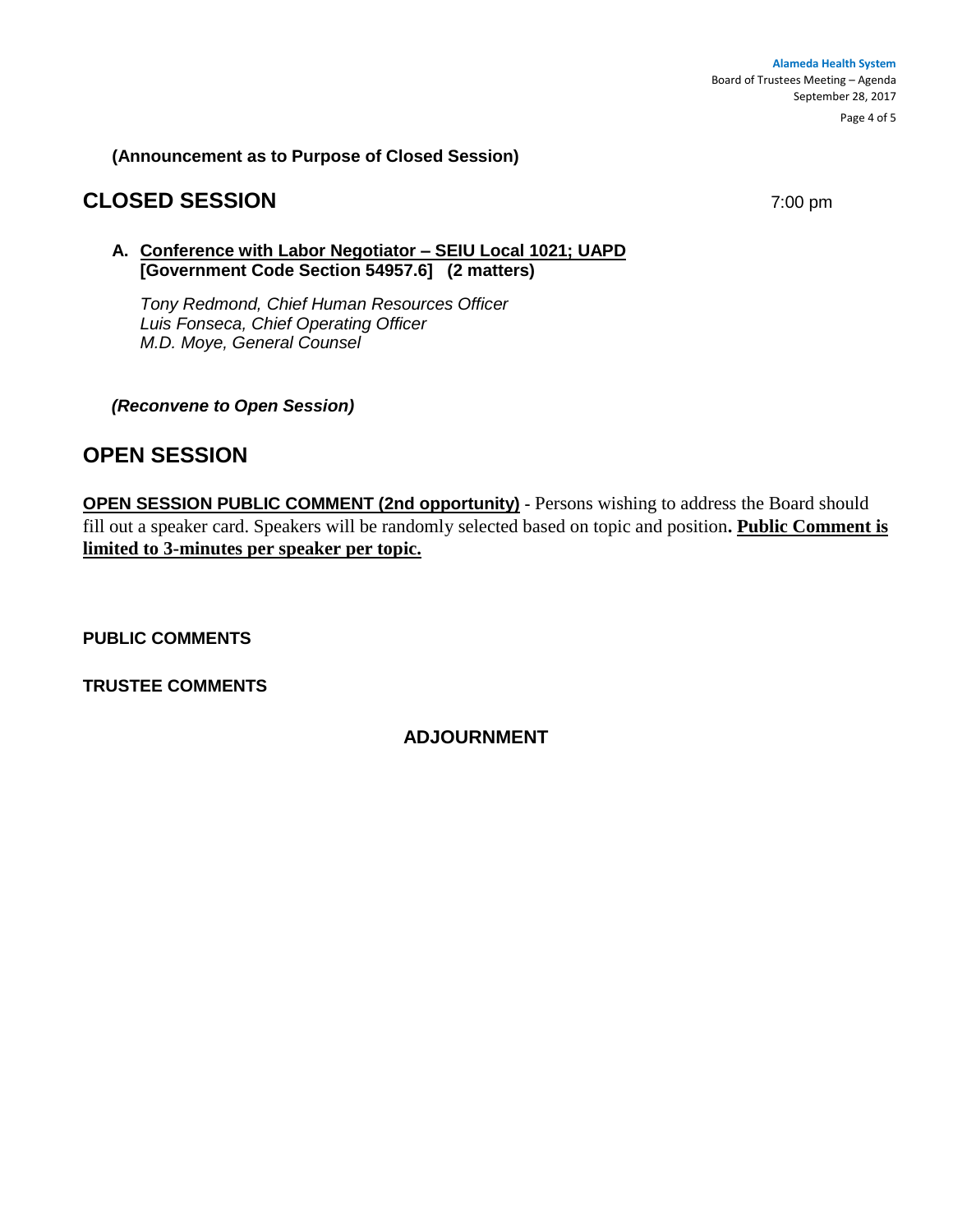**(Announcement as to Purpose of Closed Session)**

# **CLOSED SESSION** 7:00 pm

### **A. Conference with Labor Negotiator – SEIU Local 1021; UAPD [Government Code Section 54957.6] (2 matters)**

*Tony Redmond, Chief Human Resources Officer Luis Fonseca, Chief Operating Officer M.D. Moye, General Counsel*

*(Reconvene to Open Session)* 

# **OPEN SESSION**

**OPEN SESSION PUBLIC COMMENT (2nd opportunity)** - Persons wishing to address the Board should fill out a speaker card. Speakers will be randomly selected based on topic and position**. Public Comment is limited to 3-minutes per speaker per topic.**

**PUBLIC COMMENTS**

**TRUSTEE COMMENTS** 

### **ADJOURNMENT**